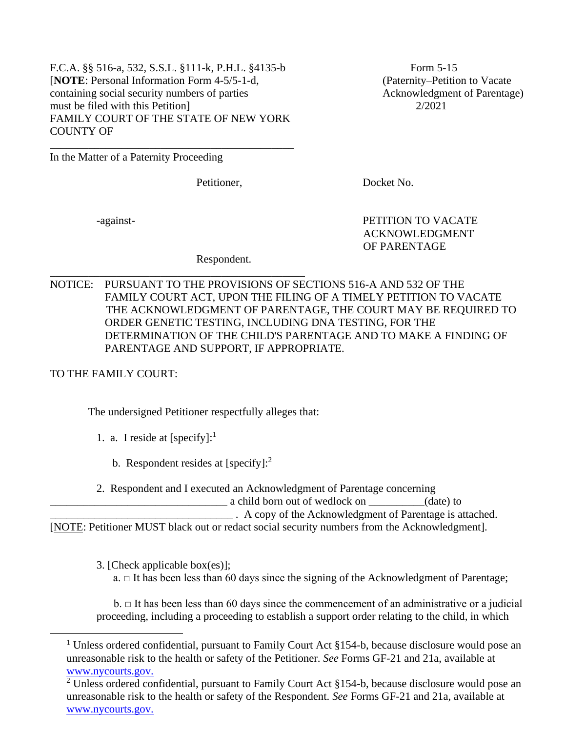F.C.A. §§ 516-a, 532, S.S.L. §111-k, P.H.L. §4135-b Form 5-15 [**NOTE**: Personal Information Form 4-5/5-1-d, (Paternity–Petition to Vacate containing social security numbers of parties Acknowledgment of Parentage) must be filed with this Petition **2/2021** FAMILY COURT OF THE STATE OF NEW YORK COUNTY OF

\_\_\_\_\_\_\_\_\_\_\_\_\_\_\_\_\_\_\_\_\_\_\_\_\_\_\_\_\_\_\_\_\_\_\_\_\_\_\_\_\_\_\_\_

\_\_\_\_\_\_\_\_\_\_\_\_\_\_\_\_\_\_\_\_\_\_\_\_\_\_\_\_\_\_\_\_\_\_\_\_\_\_\_\_\_\_\_\_\_\_

In the Matter of a Paternity Proceeding

Petitioner, Docket No.

-against- PETITION TO VACATE ACKNOWLEDGMENT OF PARENTAGE

Respondent.

NOTICE: PURSUANT TO THE PROVISIONS OF SECTIONS 516-A AND 532 OF THE FAMILY COURT ACT, UPON THE FILING OF A TIMELY PETITION TO VACATE THE ACKNOWLEDGMENT OF PARENTAGE, THE COURT MAY BE REQUIRED TO ORDER GENETIC TESTING, INCLUDING DNA TESTING, FOR THE DETERMINATION OF THE CHILD'S PARENTAGE AND TO MAKE A FINDING OF PARENTAGE AND SUPPORT, IF APPROPRIATE.

TO THE FAMILY COURT:

The undersigned Petitioner respectfully alleges that:

- 1. a. I reside at  $[specify]:<sup>1</sup>$ 
	- b. Respondent resides at  $[specify]$ :
- 2. Respondent and I executed an Acknowledgment of Parentage concerning

\_\_\_\_\_\_\_\_\_\_\_\_\_\_\_\_\_\_\_\_\_\_\_\_\_\_\_\_\_\_\_\_ a child born out of wedlock on \_\_\_\_\_\_\_\_\_\_(date) to

\_\_\_\_\_\_\_\_\_\_\_\_\_\_\_\_\_\_\_\_\_\_\_\_\_\_\_\_\_\_\_\_\_ . A copy of the Acknowledgment of Parentage is attached.

[NOTE: Petitioner MUST black out or redact social security numbers from the Acknowledgment].

3. [Check applicable box(es)];

 $a. \Box$  It has been less than 60 days since the signing of the Acknowledgment of Parentage;

 $b. \Box$  It has been less than 60 days since the commencement of an administrative or a judicial proceeding, including a proceeding to establish a support order relating to the child, in which

<sup>&</sup>lt;sup>1</sup> Unless ordered confidential, pursuant to Family Court Act  $§154-b$ , because disclosure would pose an unreasonable risk to the health or safety of the Petitioner. *See* Forms GF-21 and 21a, available at [www.nycourts.gov.](http://www.nycourts.gov./)

 $2$  Unless ordered confidential, pursuant to Family Court Act §154-b, because disclosure would pose an unreasonable risk to the health or safety of the Respondent. *See* Forms GF-21 and 21a, available at [www.nycourts.gov.](http://www.nycourts.gov./)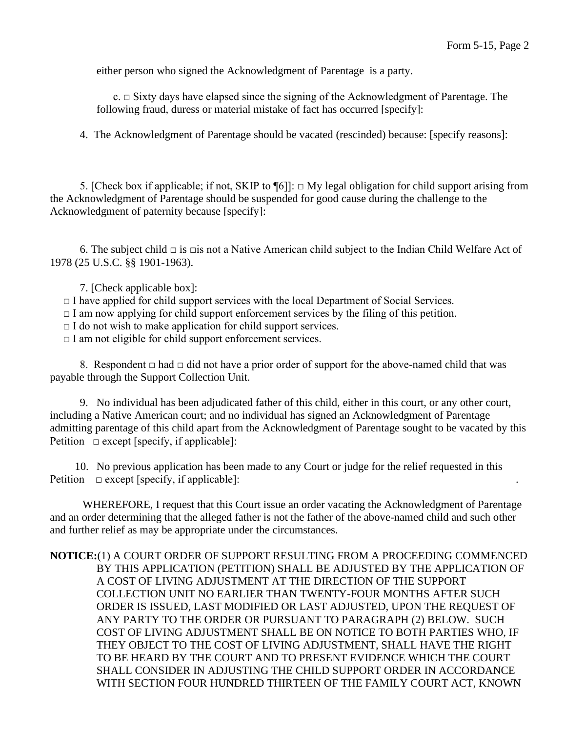either person who signed the Acknowledgment of Parentage is a party.

 $c. \Box$  Sixty days have elapsed since the signing of the Acknowledgment of Parentage. The following fraud, duress or material mistake of fact has occurred [specify]:

4. The Acknowledgment of Parentage should be vacated (rescinded) because: [specify reasons]:

5. [Check box if applicable; if not, SKIP to  $\P[6]$ :  $\Box$  My legal obligation for child support arising from the Acknowledgment of Parentage should be suspended for good cause during the challenge to the Acknowledgment of paternity because [specify]:

6. The subject child  $\Box$  is  $\Box$  is not a Native American child subject to the Indian Child Welfare Act of 1978 (25 U.S.C. §§ 1901-1963).

7. [Check applicable box]:

 $\Box$  I have applied for child support services with the local Department of Social Services.

 $\Box$  I am now applying for child support enforcement services by the filing of this petition.

 $\Box$  I do not wish to make application for child support services.

 $\Box$  I am not eligible for child support enforcement services.

8. Respondent  $\Box$  had  $\Box$  did not have a prior order of support for the above-named child that was payable through the Support Collection Unit.

9. No individual has been adjudicated father of this child, either in this court, or any other court, including a Native American court; and no individual has signed an Acknowledgment of Parentage admitting parentage of this child apart from the Acknowledgment of Parentage sought to be vacated by this Petition  $\Box$  except [specify, if applicable]:

 10. No previous application has been made to any Court or judge for the relief requested in this Petition  $\Box$  except [specify, if applicable]:

WHEREFORE, I request that this Court issue an order vacating the Acknowledgment of Parentage and an order determining that the alleged father is not the father of the above-named child and such other and further relief as may be appropriate under the circumstances.

## **NOTICE:**(1) A COURT ORDER OF SUPPORT RESULTING FROM A PROCEEDING COMMENCED BY THIS APPLICATION (PETITION) SHALL BE ADJUSTED BY THE APPLICATION OF A COST OF LIVING ADJUSTMENT AT THE DIRECTION OF THE SUPPORT COLLECTION UNIT NO EARLIER THAN TWENTY-FOUR MONTHS AFTER SUCH ORDER IS ISSUED, LAST MODIFIED OR LAST ADJUSTED, UPON THE REQUEST OF ANY PARTY TO THE ORDER OR PURSUANT TO PARAGRAPH (2) BELOW. SUCH COST OF LIVING ADJUSTMENT SHALL BE ON NOTICE TO BOTH PARTIES WHO, IF THEY OBJECT TO THE COST OF LIVING ADJUSTMENT, SHALL HAVE THE RIGHT TO BE HEARD BY THE COURT AND TO PRESENT EVIDENCE WHICH THE COURT SHALL CONSIDER IN ADJUSTING THE CHILD SUPPORT ORDER IN ACCORDANCE WITH SECTION FOUR HUNDRED THIRTEEN OF THE FAMILY COURT ACT, KNOWN